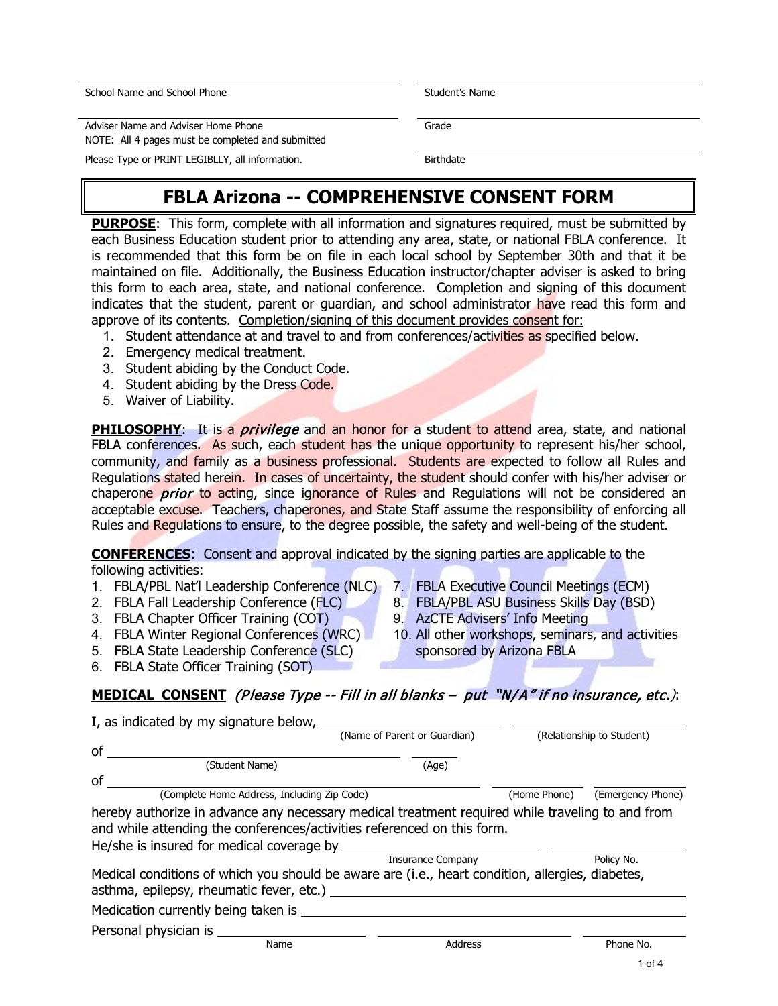School Name and School Phone Student's Name Student's Name

Adviser Name and Adviser Home Phone NOTE: All 4 pages must be completed and submitted

Please Type or PRINT LEGIBLLY, all information. The process of Birthdate

# **FBLA Arizona -- COMPREHENSIVE CONSENT FORM**

**PURPOSE**: This form, complete with all information and signatures required, must be submitted by each Business Education student prior to attending any area, state, or national FBLA conference. It is recommended that this form be on file in each local school by September 30th and that it be maintained on file. Additionally, the Business Education instructor/chapter adviser is asked to bring this form to each area, state, and national conference. Completion and signing of this document indicates that the student, parent or guardian, and school administrator have read this form and approve of its contents. Completion/signing of this document provides consent for:

- 1. Student attendance at and travel to and from conferences/activities as specified below.
- 2. Emergency medical treatment.
- 3. Student abiding by the Conduct Code.
- 4. Student abiding by the Dress Code.
- 5. Waiver of Liability.

**PHILOSOPHY:** It is a *privilege* and an honor for a student to attend area, state, and national FBLA conferences. As such, each student has the unique opportunity to represent his/her school, community, and family as a business professional. Students are expected to follow all Rules and Regulations stated herein. In cases of uncertainty, the student should confer with his/her adviser or chaperone *prior* to acting, since ignorance of Rules and Regulations will not be considered an acceptable excuse. Teachers, chaperones, and State Staff assume the responsibility of enforcing all Rules and Regulations to ensure, to the degree possible, the safety and well-being of the student.

**CONFERENCES**: Consent and approval indicated by the signing parties are applicable to the following activities:

- 1. FBLA/PBL Nat'l Leadership Conference (NLC)
- 2. FBLA Fall Leadership Conference (FLC)
- 3. FBLA Chapter Officer Training (COT)
- 4. FBLA Winter Regional Conferences (WRC)
- 5. FBLA State Leadership Conference (SLC)
- 6. FBLA State Officer Training (SOT)
- 7. FBLA Executive Council Meetings (ECM)
- 8. FBLA/PBL ASU Business Skills Day (BSD)
- 9. AzCTE Advisers' Info Meeting
- 10. All other workshops, seminars, and activities sponsored by Arizona FBLA

**MEDICAL CONSENT** (Please Type -- Fill in all blanks – put "N/A" if no insurance, etc.):

| I, as indicated by my signature below,                                                                                                                                                                                   |                              |              |                           |  |
|--------------------------------------------------------------------------------------------------------------------------------------------------------------------------------------------------------------------------|------------------------------|--------------|---------------------------|--|
|                                                                                                                                                                                                                          | (Name of Parent or Guardian) |              | (Relationship to Student) |  |
| of                                                                                                                                                                                                                       |                              |              |                           |  |
| (Student Name)                                                                                                                                                                                                           | (Age)                        |              |                           |  |
| οf                                                                                                                                                                                                                       |                              |              |                           |  |
| (Complete Home Address, Including Zip Code)                                                                                                                                                                              |                              | (Home Phone) | (Emergency Phone)         |  |
| hereby authorize in advance any necessary medical treatment required while traveling to and from<br>and while attending the conferences/activities referenced on this form.<br>He/she is insured for medical coverage by |                              |              |                           |  |
|                                                                                                                                                                                                                          | <b>Insurance Company</b>     |              | Policy No.                |  |
| Medical conditions of which you should be aware are (i.e., heart condition, allergies, diabetes,<br>asthma, epilepsy, rheumatic fever, etc.)                                                                             |                              |              |                           |  |
| Medication currently being taken is                                                                                                                                                                                      |                              |              |                           |  |
| Personal physician is _____                                                                                                                                                                                              |                              |              |                           |  |
| Name                                                                                                                                                                                                                     | <b>Address</b>               |              | Phone No.                 |  |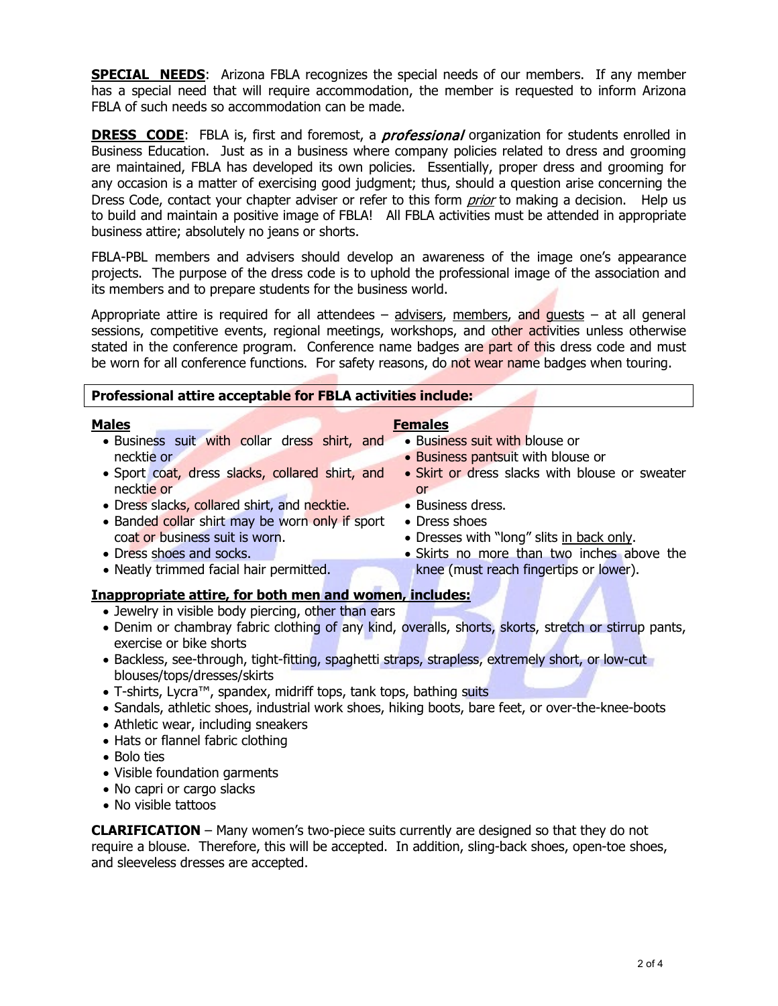**SPECIAL NEEDS:** Arizona FBLA recognizes the special needs of our members. If any member has a special need that will require accommodation, the member is requested to inform Arizona FBLA of such needs so accommodation can be made.

**DRESS CODE:** FBLA is, first and foremost, a *professional* organization for students enrolled in Business Education. Just as in a business where company policies related to dress and grooming are maintained, FBLA has developed its own policies. Essentially, proper dress and grooming for any occasion is a matter of exercising good judgment; thus, should a question arise concerning the Dress Code, contact your chapter adviser or refer to this form *prior* to making a decision. Help us to build and maintain a positive image of FBLA! All FBLA activities must be attended in appropriate business attire; absolutely no jeans or shorts.

FBLA-PBL members and advisers should develop an awareness of the image one's appearance projects. The purpose of the dress code is to uphold the professional image of the association and its members and to prepare students for the business world.

Appropriate attire is required for all attendees  $-$  advisers, members, and guests  $-$  at all general sessions, competitive events, regional meetings, workshops, and other activities unless otherwise stated in the conference program. Conference name badges are part of this dress code and must be worn for all conference functions. For safety reasons, do not wear name badges when touring.

| Professional attire acceptable for FBLA activities include:                                      |                                                                                                      |  |  |
|--------------------------------------------------------------------------------------------------|------------------------------------------------------------------------------------------------------|--|--|
| <b>Males</b>                                                                                     | <b>Females</b>                                                                                       |  |  |
| · Business suit with collar dress shirt, and                                                     | • Business suit with blouse or                                                                       |  |  |
| necktie or                                                                                       | • Business pantsuit with blouse or                                                                   |  |  |
| • Sport coat, dress slacks, collared shirt, and                                                  | • Skirt or dress slacks with blouse or sweater                                                       |  |  |
| necktie or                                                                                       | <sub>or</sub>                                                                                        |  |  |
| • Dress slacks, collared shirt, and necktie.                                                     | • Business dress.                                                                                    |  |  |
| • Banded collar shirt may be worn only if sport                                                  | • Dress shoes                                                                                        |  |  |
| coat or business suit is worn.                                                                   | • Dresses with "long" slits in back only.                                                            |  |  |
| • Dress shoes and socks.                                                                         | • Skirts no more than two inches above the                                                           |  |  |
| • Neatly trimmed facial hair permitted.                                                          | knee (must reach fingertips or lower).                                                               |  |  |
|                                                                                                  |                                                                                                      |  |  |
| <b>Inappropriate attire, for both men and women, includes:</b>                                   |                                                                                                      |  |  |
| • Jewelry in visible body piercing, other than ears                                              |                                                                                                      |  |  |
|                                                                                                  | • Denim or chambray fabric clothing of any kind, overalls, shorts, skorts, stretch or stirrup pants, |  |  |
| exercise or bike shorts                                                                          |                                                                                                      |  |  |
| • Backless, see-through, tight-fitting, spaghetti straps, strapless, extremely short, or low-cut |                                                                                                      |  |  |

- Backless, see-through, tight-fitting, spaghetti straps, strapless, extremely short, or low-cut blouses/tops/dresses/skirts
- T-shirts, Lycra™, spandex, midriff tops, tank tops, bathing suits
- Sandals, athletic shoes, industrial work shoes, hiking boots, bare feet, or over-the-knee-boots
- Athletic wear, including sneakers
- Hats or flannel fabric clothing
- Bolo ties
- Visible foundation garments
- No capri or cargo slacks
- No visible tattoos

**CLARIFICATION** – Many women's two-piece suits currently are designed so that they do not require a blouse. Therefore, this will be accepted. In addition, sling-back shoes, open-toe shoes, and sleeveless dresses are accepted.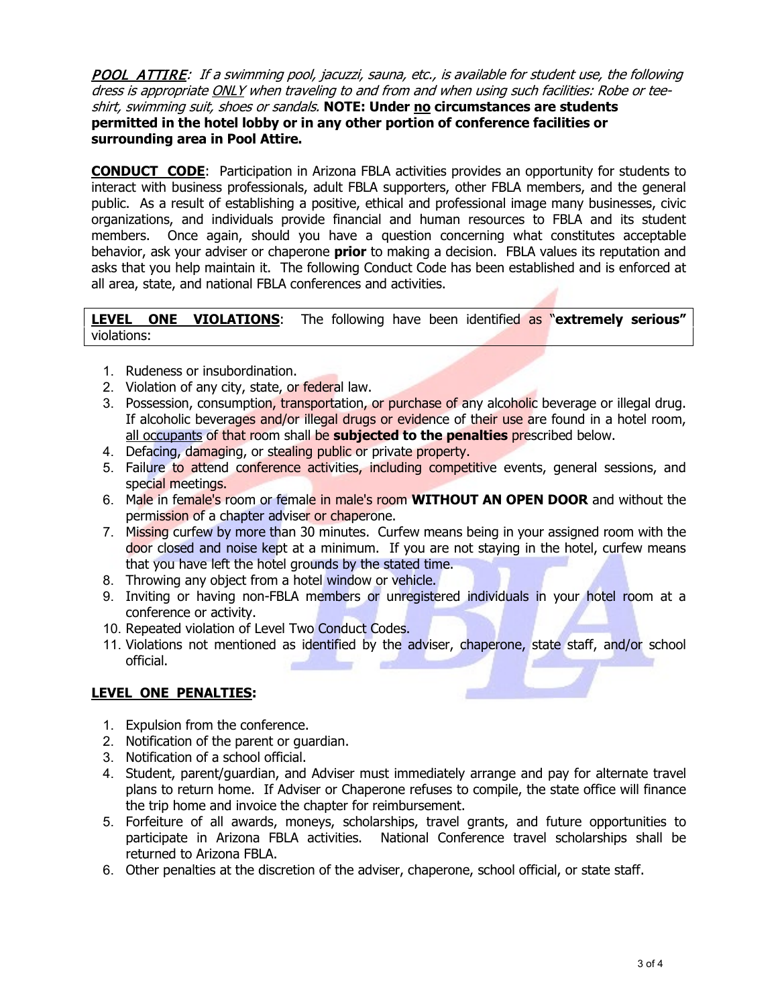POOL ATTIRE: If a swimming pool, jacuzzi, sauna, etc., is available for student use, the following dress is appropriate ONLY when traveling to and from and when using such facilities: Robe or teeshirt, swimming suit, shoes or sandals. **NOTE: Under no circumstances are students permitted in the hotel lobby or in any other portion of conference facilities or surrounding area in Pool Attire.**

**CONDUCT CODE**: Participation in Arizona FBLA activities provides an opportunity for students to interact with business professionals, adult FBLA supporters, other FBLA members, and the general public. As a result of establishing a positive, ethical and professional image many businesses, civic organizations, and individuals provide financial and human resources to FBLA and its student members. Once again, should you have a question concerning what constitutes acceptable behavior, ask your adviser or chaperone **prior** to making a decision. FBLA values its reputation and asks that you help maintain it. The following Conduct Code has been established and is enforced at all area, state, and national FBLA conferences and activities.

**LEVEL ONE VIOLATIONS**: The following have been identified as "**extremely serious"** violations:

- 1. Rudeness or insubordination.
- 2. Violation of any city, state, or federal law.
- 3. Possession, consumption, transportation, or purchase of any alcoholic beverage or illegal drug. If alcoholic beverages and/or illegal drugs or evidence of their use are found in a hotel room, all occupants of that room shall be **subjected to the penalties** prescribed below.
- 4. Defacing, damaging, or stealing public or private property.
- 5. Failure to attend conference activities, including competitive events, general sessions, and special meetings.
- 6. Male in female's room or female in male's room **WITHOUT AN OPEN DOOR** and without the permission of a chapter adviser or chaperone.
- 7. Missing curfew by more than 30 minutes. Curfew means being in your assigned room with the door closed and noise kept at a minimum. If you are not staying in the hotel, curfew means that you have left the hotel grounds by the stated time.
- 8. Throwing any object from a hotel window or vehicle.
- 9. Inviting or having non-FBLA members or unregistered individuals in your hotel room at a conference or activity.
- 10. Repeated violation of Level Two Conduct Codes.
- 11. Violations not mentioned as identified by the adviser, chaperone, state staff, and/or school official.

## **LEVEL ONE PENALTIES:**

- 1. Expulsion from the conference.
- 2. Notification of the parent or guardian.
- 3. Notification of a school official.
- 4. Student, parent/guardian, and Adviser must immediately arrange and pay for alternate travel plans to return home. If Adviser or Chaperone refuses to compile, the state office will finance the trip home and invoice the chapter for reimbursement.
- 5. Forfeiture of all awards, moneys, scholarships, travel grants, and future opportunities to participate in Arizona FBLA activities. National Conference travel scholarships shall be returned to Arizona FBLA.
- 6. Other penalties at the discretion of the adviser, chaperone, school official, or state staff.